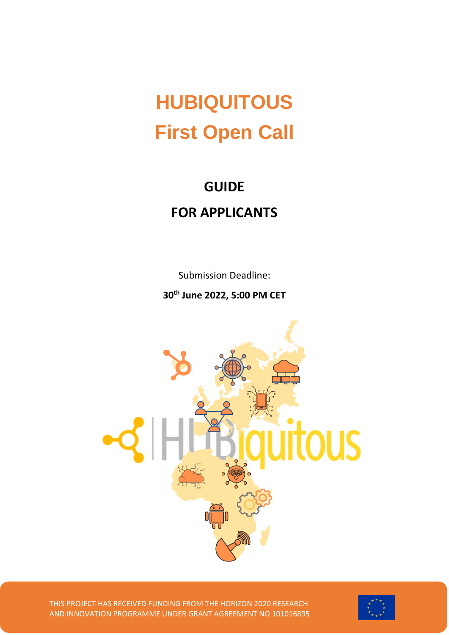# **HUBIQUITOUS First Open Call**

## **GUIDE FOR APPLICANTS**

Submission Deadline:

**30 th June 2022, 5:00 PM CET**



THIS PROJECT HAS RECEIVED FUNDING FROM THE HORIZON 2020 RESEARCH AND INNOVATION PROGRAMME UNDER GRANT AGREEMENT NO 101016895

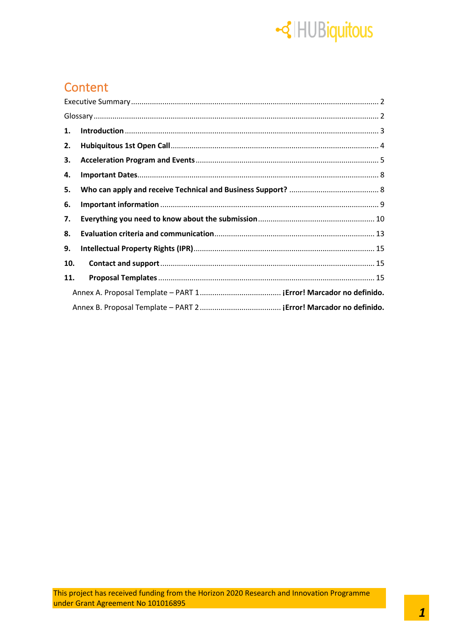# -<lled Thursiquitous

## Content

| 1.  |  |
|-----|--|
| 2.  |  |
| 3.  |  |
| 4.  |  |
| 5.  |  |
| 6.  |  |
| 7.  |  |
| 8.  |  |
| 9.  |  |
| 10. |  |
| 11. |  |
|     |  |
|     |  |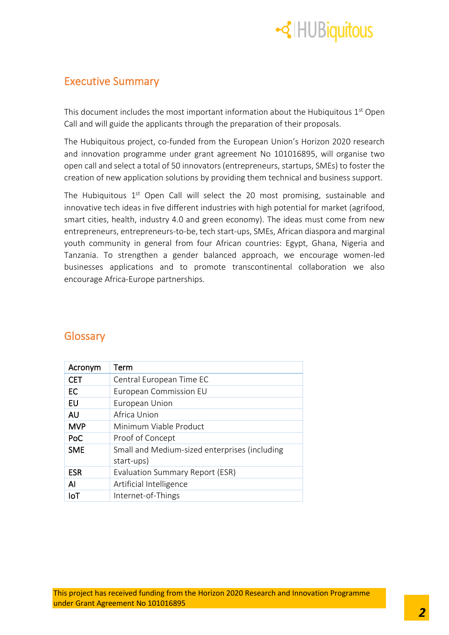

### <span id="page-2-0"></span>Executive Summary

This document includes the most important information about the Hubiquitous  $1<sup>st</sup>$  Open Call and will guide the applicants through the preparation of their proposals.

The Hubiquitous project, co-funded from the European Union's Horizon 2020 research and innovation programme under grant agreement No 101016895, will organise two open call and select a total of 50 innovators (entrepreneurs, startups, SMEs) to foster the creation of new application solutions by providing them technical and business support.

The Hubiquitous  $1<sup>st</sup>$  Open Call will select the 20 most promising, sustainable and innovative tech ideas in five different industries with high potential for market (agrifood, smart cities, health, industry 4.0 and green economy). The ideas must come from new entrepreneurs, entrepreneurs-to-be, tech start-ups, SMEs, African diaspora and marginal youth community in general from four African countries: Egypt, Ghana, Nigeria and Tanzania. To strengthen a gender balanced approach, we encourage women-led businesses applications and to promote transcontinental collaboration we also encourage Africa-Europe partnerships.

| Acronym      | Term                                                        |
|--------------|-------------------------------------------------------------|
| <b>CET</b>   | Central European Time EC                                    |
| EC           | European Commission EU                                      |
| EU           | European Union                                              |
| <b>AU</b>    | Africa Union                                                |
| <b>MVP</b>   | Minimum Viable Product                                      |
| PoC          | Proof of Concept                                            |
| <b>SME</b>   | Small and Medium-sized enterprises (including<br>start-ups) |
| <b>ESR</b>   | <b>Evaluation Summary Report (ESR)</b>                      |
| $\mathsf{A}$ | Artificial Intelligence                                     |
| IoT          | Internet-of-Things                                          |

### <span id="page-2-1"></span>**Glossary**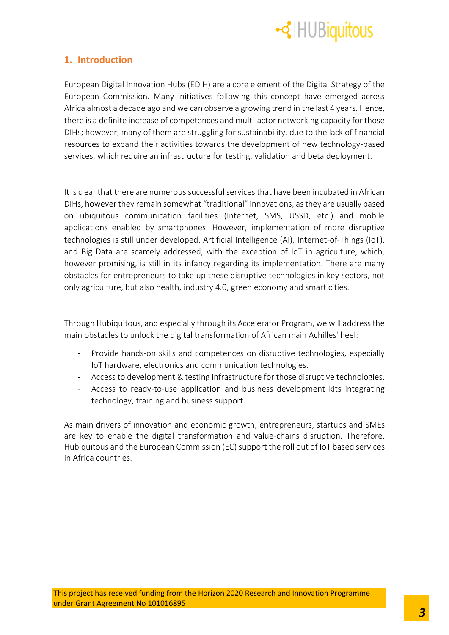

### <span id="page-3-0"></span>**1. Introduction**

European Digital Innovation Hubs (EDIH) are a core element of the Digital Strategy of the European Commission. Many initiatives following this concept have emerged across Africa almost a decade ago and we can observe a growing trend in the last 4 years. Hence, there is a definite increase of competences and multi-actor networking capacity for those DIHs; however, many of them are struggling for sustainability, due to the lack of financial resources to expand their activities towards the development of new technology-based services, which require an infrastructure for testing, validation and beta deployment.

It is clear that there are numerous successful services that have been incubated in African DIHs, however they remain somewhat "traditional" innovations, as they are usually based on ubiquitous communication facilities (Internet, SMS, USSD, etc.) and mobile applications enabled by smartphones. However, implementation of more disruptive technologies is still under developed. Artificial Intelligence (AI), Internet-of-Things (IoT), and Big Data are scarcely addressed, with the exception of IoT in agriculture, which, however promising, is still in its infancy regarding its implementation. There are many obstacles for entrepreneurs to take up these disruptive technologies in key sectors, not only agriculture, but also health, industry 4.0, green economy and smart cities.

Through Hubiquitous, and especially through its Accelerator Program, we will address the main obstacles to unlock the digital transformation of African main Achilles' heel:

- Provide hands-on skills and competences on disruptive technologies, especially IoT hardware, electronics and communication technologies.
- Access to development & testing infrastructure for those disruptive technologies.
- Access to ready-to-use application and business development kits integrating technology, training and business support.

As main drivers of innovation and economic growth, entrepreneurs, startups and SMEs are key to enable the digital transformation and value-chains disruption. Therefore, Hubiquitous and the European Commission (EC) support the roll out of IoT based services in Africa countries.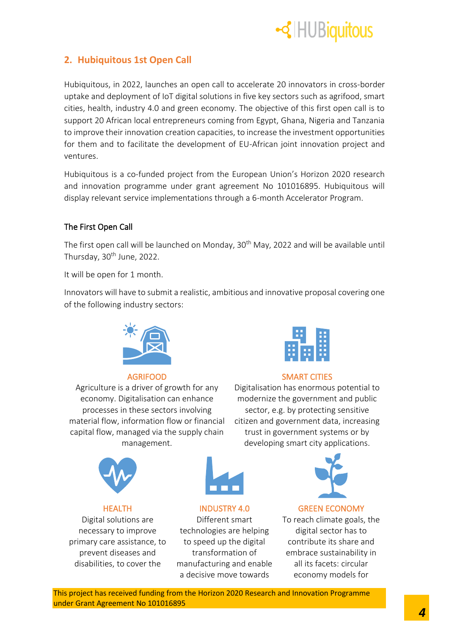

### <span id="page-4-0"></span>**2. Hubiquitous 1st Open Call**

Hubiquitous, in 2022, launches an open call to accelerate 20 innovators in cross-border uptake and deployment of IoT digital solutions in five key sectors such as agrifood, smart cities, health, industry 4.0 and green economy. The objective of this first open call is to support 20 African local entrepreneurs coming from Egypt, Ghana, Nigeria and Tanzania to improve their innovation creation capacities, to increase the investment opportunities for them and to facilitate the development of EU-African joint innovation project and ventures.

Hubiquitous is a co-funded project from the European Union's Horizon 2020 research and innovation programme under grant agreement No 101016895. Hubiquitous will display relevant service implementations through a 6-month Accelerator Program.

### The First Open Call

The first open call will be launched on Monday, 30<sup>th</sup> May, 2022 and will be available until Thursday, 30<sup>th</sup> June, 2022.

It will be open for 1 month.

Innovators will have to submit a realistic, ambitious and innovative proposal covering one of the following industry sectors:



Agriculture is a driver of growth for any economy. Digitalisation can enhance processes in these sectors involving material flow, information flow or financial capital flow, managed via the supply chain management.



### AGRIFOOD SMART CITIES

Digitalisation has enormous potential to modernize the government and public sector, e.g. by protecting sensitive citizen and government data, increasing trust in government systems or by developing smart city applications.







Different smart technologies are helping to speed up the digital transformation of manufacturing and enable a decisive move towards



### HEALTH INDUSTRY 4.0 GREEN ECONOMY

To reach climate goals, the digital sector has to contribute its share and embrace sustainability in all its facets: circular economy models for

This project has received funding from the Horizon 2020 Research and Innovation Programme under Grant Agreement No 101016895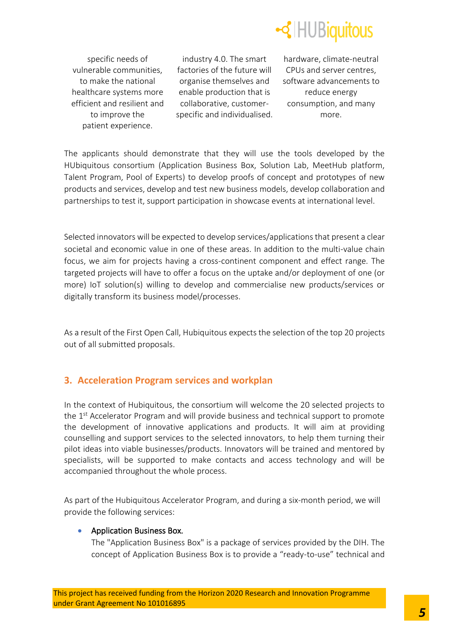

specific needs of vulnerable communities, to make the national healthcare systems more efficient and resilient and to improve the patient experience.

industry 4.0. The smart factories of the future will organise themselves and enable production that is collaborative, customerspecific and individualised.

hardware, climate-neutral CPUs and server centres, software advancements to reduce energy consumption, and many more.

The applicants should demonstrate that they will use the tools developed by the HUbiquitous consortium (Application Business Box, Solution Lab, MeetHub platform, Talent Program, Pool of Experts) to develop proofs of concept and prototypes of new products and services, develop and test new business models, develop collaboration and partnerships to test it, support participation in showcase events at international level.

Selected innovators will be expected to develop services/applications that present a clear societal and economic value in one of these areas. In addition to the multi-value chain focus, we aim for projects having a cross-continent component and effect range. The targeted projects will have to offer a focus on the uptake and/or deployment of one (or more) IoT solution(s) willing to develop and commercialise new products/services or digitally transform its business model/processes.

As a result of the First Open Call, Hubiquitous expects the selection of the top 20 projects out of all submitted proposals.

### <span id="page-5-0"></span>**3. Acceleration Program services and workplan**

In the context of Hubiquitous, the consortium will welcome the 20 selected projects to the 1<sup>st</sup> Accelerator Program and will provide business and technical support to promote the development of innovative applications and products. It will aim at providing counselling and support services to the selected innovators, to help them turning their pilot ideas into viable businesses/products. Innovators will be trained and mentored by specialists, will be supported to make contacts and access technology and will be accompanied throughout the whole process.

As part of the Hubiquitous Accelerator Program, and during a six-month period, we will provide the following services:

### • Application Business Box.

The "Application Business Box" is a package of services provided by the DIH. The concept of Application Business Box is to provide a "ready-to-use" technical and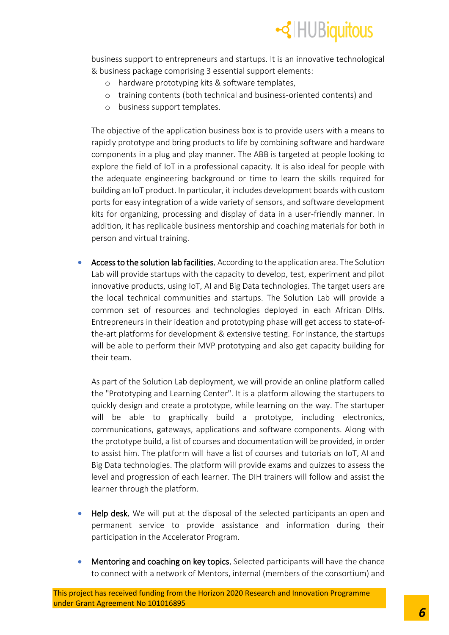

business support to entrepreneurs and startups. It is an innovative technological & business package comprising 3 essential support elements:

- o hardware prototyping kits & software templates,
- o training contents (both technical and business-oriented contents) and
- o business support templates.

The objective of the application business box is to provide users with a means to rapidly prototype and bring products to life by combining software and hardware components in a plug and play manner. The ABB is targeted at people looking to explore the field of IoT in a professional capacity. It is also ideal for people with the adequate engineering background or time to learn the skills required for building an IoT product. In particular, it includes development boards with custom ports for easy integration of a wide variety of sensors, and software development kits for organizing, processing and display of data in a user-friendly manner. In addition, it has replicable business mentorship and coaching materials for both in person and virtual training.

• Access to the solution lab facilities. According to the application area. The Solution Lab will provide startups with the capacity to develop, test, experiment and pilot innovative products, using IoT, AI and Big Data technologies. The target users are the local technical communities and startups. The Solution Lab will provide a common set of resources and technologies deployed in each African DIHs. Entrepreneurs in their ideation and prototyping phase will get access to state-ofthe-art platforms for development & extensive testing. For instance, the startups will be able to perform their MVP prototyping and also get capacity building for their team.

As part of the Solution Lab deployment, we will provide an online platform called the "Prototyping and Learning Center". It is a platform allowing the startupers to quickly design and create a prototype, while learning on the way. The startuper will be able to graphically build a prototype, including electronics, communications, gateways, applications and software components. Along with the prototype build, a list of courses and documentation will be provided, in order to assist him. The platform will have a list of courses and tutorials on IoT, AI and Big Data technologies. The platform will provide exams and quizzes to assess the level and progression of each learner. The DIH trainers will follow and assist the learner through the platform.

- **Help desk.** We will put at the disposal of the selected participants an open and permanent service to provide assistance and information during their participation in the Accelerator Program.
- Mentoring and coaching on key topics. Selected participants will have the chance to connect with a network of Mentors, internal (members of the consortium) and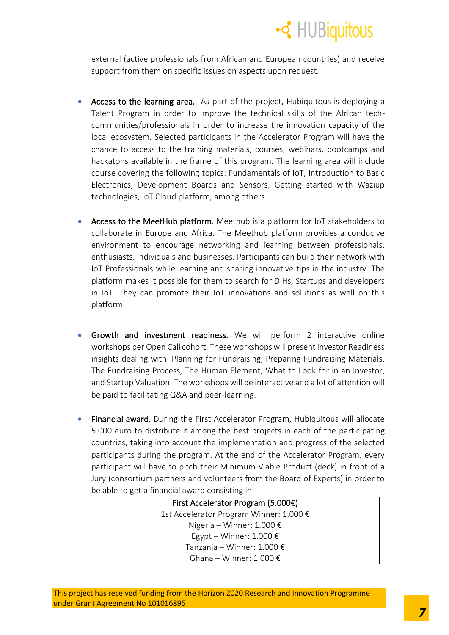

external (active professionals from African and European countries) and receive support from them on specific issues on aspects upon request.

- Access to the learning area. As part of the project, Hubiquitous is deploying a Talent Program in order to improve the technical skills of the African techcommunities/professionals in order to increase the innovation capacity of the local ecosystem. Selected participants in the Accelerator Program will have the chance to access to the training materials, courses, webinars, bootcamps and hackatons available in the frame of this program. The learning area will include course covering the following topics: Fundamentals of IoT, Introduction to Basic Electronics, Development Boards and Sensors, Getting started with Waziup technologies, IoT Cloud platform, among others.
- Access to the MeetHub platform. Meethub is a platform for IoT stakeholders to collaborate in Europe and Africa. The Meethub platform provides a conducive environment to encourage networking and learning between professionals, enthusiasts, individuals and businesses. Participants can build their network with IoT Professionals while learning and sharing innovative tips in the industry. The platform makes it possible for them to search for DIHs, Startups and developers in IoT. They can promote their IoT innovations and solutions as well on this platform.
- Growth and investment readiness. We will perform 2 interactive online workshops per Open Call cohort. These workshops will present Investor Readiness insights dealing with: Planning for Fundraising, Preparing Fundraising Materials, The Fundraising Process, The Human Element, What to Look for in an Investor, and Startup Valuation. The workshops will be interactive and a lot of attention will be paid to facilitating Q&A and peer-learning.
- Financial award. During the First Accelerator Program, Hubiquitous will allocate 5.000 euro to distribute it among the best projects in each of the participating countries, taking into account the implementation and progress of the selected participants during the program. At the end of the Accelerator Program, every participant will have to pitch their Minimum Viable Product (deck) in front of a Jury (consortium partners and volunteers from the Board of Experts) in order to be able to get a financial award consisting in:

| First Accelerator Program (5.000€)      |  |
|-----------------------------------------|--|
| 1st Accelerator Program Winner: 1.000 € |  |
| Nigeria – Winner: 1.000 €               |  |
| Egypt – Winner: 1.000 $\epsilon$        |  |
| Tanzania – Winner: 1.000 €              |  |
| Ghana – Winner: 1.000 €                 |  |
|                                         |  |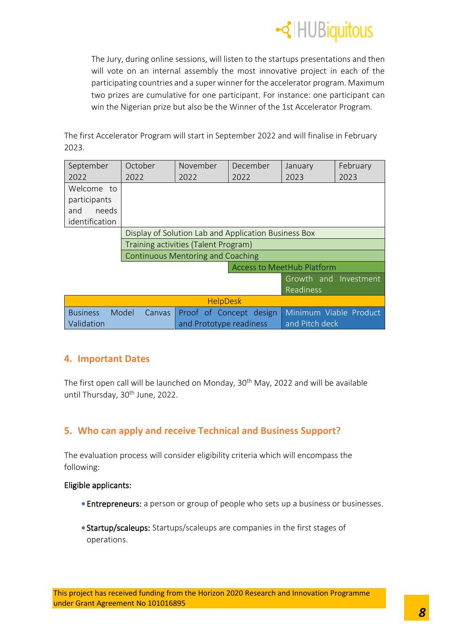

The Jury, during online sessions, will listen to the startups presentations and then will vote on an internal assembly the most innovative project in each of the participating countries and a super winner for the accelerator program. Maximum two prizes are cumulative for one participant. For instance: one participant can win the Nigerian prize but also be the Winner of the 1st Accelerator Program.

The first Accelerator Program will start in September 2022 and will finalise in February 2023.

| September                                                    | October         | November                | December                                             | January                                   | February |
|--------------------------------------------------------------|-----------------|-------------------------|------------------------------------------------------|-------------------------------------------|----------|
| 2022                                                         | 2022            | 2022                    | 2022                                                 | 2023                                      | 2023     |
| Welcome to<br>participants<br>needs<br>and<br>identification |                 |                         |                                                      |                                           |          |
|                                                              |                 |                         | Display of Solution Lab and Application Business Box |                                           |          |
| Training activities (Talent Program)                         |                 |                         |                                                      |                                           |          |
| <b>Continuous Mentoring and Coaching</b>                     |                 |                         |                                                      |                                           |          |
| <b>Access to MeetHub Platform</b>                            |                 |                         |                                                      |                                           |          |
|                                                              |                 |                         |                                                      | Growth and Investment<br><b>Readiness</b> |          |
| <b>HelpDesk</b>                                              |                 |                         |                                                      |                                           |          |
| <b>Business</b><br>Validation                                | Model<br>Canvas | and Prototype readiness | Proof of Concept design                              | Minimum Viable Product<br>and Pitch deck  |          |

### <span id="page-8-0"></span>**4. Important Dates**

The first open call will be launched on Monday, 30<sup>th</sup> May, 2022 and will be available until Thursday, 30<sup>th</sup> June, 2022.

### <span id="page-8-1"></span>**5. Who can apply and receive Technical and Business Support?**

The evaluation process will consider eligibility criteria which will encompass the following:

### Eligible applicants:

- Entrepreneurs: a person or group of people who sets up a business or businesses.
- Startup/scaleups: Startups/scaleups are companies in the first stages of operations.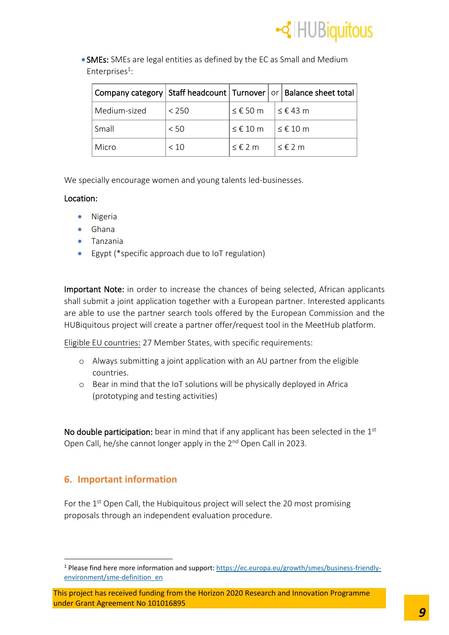

• SMEs: SMEs are legal entities as defined by the EC as Small and Medium Enterprises<sup>1</sup>:

|              |       |            | Company category   Staff headcount   Turnover   or   Balance sheet total |
|--------------|-------|------------|--------------------------------------------------------------------------|
| Medium-sized | < 250 | ≤ €50 m    | < € 43 m                                                                 |
| Small        | < 50  | $≤$ € 10 m | ≤€10 m                                                                   |
| Micro        | < 10  | $≤$ € 2 m  | $\leq \epsilon$ 2 m                                                      |

We specially encourage women and young talents led-businesses.

### Location:

- Nigeria
- Ghana
- Tanzania
- Egypt (\*specific approach due to IoT regulation)

Important Note: in order to increase the chances of being selected, African applicants shall submit a joint application together with a European partner. Interested applicants are able to use the partner search tools offered by the European Commission and the HUBiquitous project will create a partner offer/request tool in the MeetHub platform.

Eligible EU countries: 27 Member States, with specific requirements:

- o Always submitting a joint application with an AU partner from the eligible countries.
- o Bear in mind that the IoT solutions will be physically deployed in Africa (prototyping and testing activities)

No double participation: bear in mind that if any applicant has been selected in the  $1<sup>st</sup>$ Open Call, he/she cannot longer apply in the 2<sup>nd</sup> Open Call in 2023.

### <span id="page-9-0"></span>**6. Important information**

For the  $1<sup>st</sup>$  Open Call, the Hubiquitous project will select the 20 most promising proposals through an independent evaluation procedure.

<sup>1</sup> Please find here more information and support: [https://ec.europa.eu/growth/smes/business-friendly](https://ec.europa.eu/growth/smes/business-friendly-environment/sme-definition_en)[environment/sme-definition\\_en](https://ec.europa.eu/growth/smes/business-friendly-environment/sme-definition_en)

This project has received funding from the Horizon 2020 Research and Innovation Programme under Grant Agreement No 101016895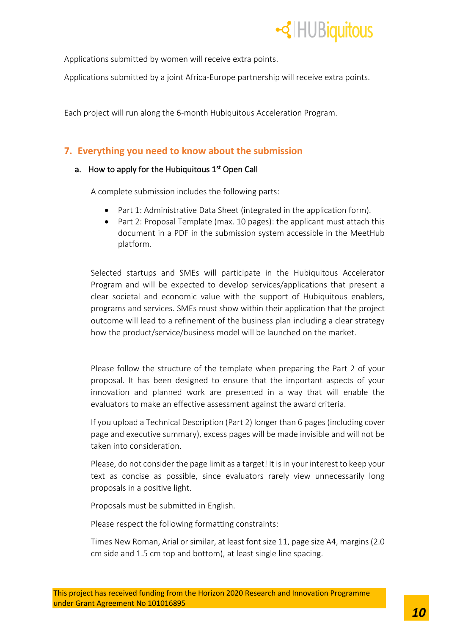

Applications submitted by women will receive extra points.

Applications submitted by a joint Africa-Europe partnership will receive extra points.

Each project will run along the 6-month Hubiquitous Acceleration Program.

### <span id="page-10-0"></span>**7. Everything you need to know about the submission**

### a. How to apply for the Hubiquitous 1<sup>st</sup> Open Call

A complete submission includes the following parts:

- Part 1: Administrative Data Sheet (integrated in the application form).
- Part 2: Proposal Template (max. 10 pages): the applicant must attach this document in a PDF in the submission system accessible in the MeetHub platform.

Selected startups and SMEs will participate in the Hubiquitous Accelerator Program and will be expected to develop services/applications that present a clear societal and economic value with the support of Hubiquitous enablers, programs and services. SMEs must show within their application that the project outcome will lead to a refinement of the business plan including a clear strategy how the product/service/business model will be launched on the market.

Please follow the structure of the template when preparing the Part 2 of your proposal. It has been designed to ensure that the important aspects of your innovation and planned work are presented in a way that will enable the evaluators to make an effective assessment against the award criteria.

If you upload a Technical Description (Part 2) longer than 6 pages (including cover page and executive summary), excess pages will be made invisible and will not be taken into consideration.

Please, do not consider the page limit as a target! It is in your interest to keep your text as concise as possible, since evaluators rarely view unnecessarily long proposals in a positive light.

Proposals must be submitted in English.

Please respect the following formatting constraints:

Times New Roman, Arial or similar, at least font size 11, page size A4, margins (2.0 cm side and 1.5 cm top and bottom), at least single line spacing.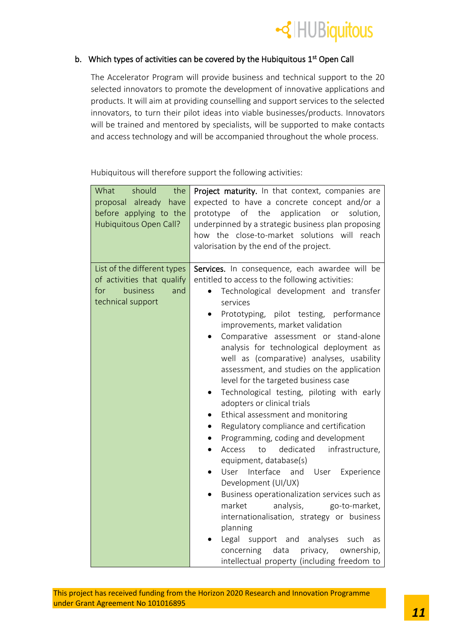

### b. Which types of activities can be covered by the Hubiquitous  $1<sup>st</sup>$  Open Call

The Accelerator Program will provide business and technical support to the 20 selected innovators to promote the development of innovative applications and products. It will aim at providing counselling and support services to the selected innovators, to turn their pilot ideas into viable businesses/products. Innovators will be trained and mentored by specialists, will be supported to make contacts and access technology and will be accompanied throughout the whole process.

Hubiquitous will therefore support the following activities:

| What<br>should<br>the<br>proposal already<br>have<br>before applying to the<br>Hubiquitous Open Call?    | Project maturity. In that context, companies are<br>expected to have a concrete concept and/or a<br>prototype of the<br>application<br>or<br>solution,<br>underpinned by a strategic business plan proposing<br>how the close-to-market solutions will reach<br>valorisation by the end of the project.                                                                                                                                                                                                                                                                                                                                                                                                                                                                                                                                                                                                                                                                                                                                                                                                                                                |
|----------------------------------------------------------------------------------------------------------|--------------------------------------------------------------------------------------------------------------------------------------------------------------------------------------------------------------------------------------------------------------------------------------------------------------------------------------------------------------------------------------------------------------------------------------------------------------------------------------------------------------------------------------------------------------------------------------------------------------------------------------------------------------------------------------------------------------------------------------------------------------------------------------------------------------------------------------------------------------------------------------------------------------------------------------------------------------------------------------------------------------------------------------------------------------------------------------------------------------------------------------------------------|
| List of the different types<br>of activities that qualify<br>business<br>for<br>and<br>technical support | Services. In consequence, each awardee will be<br>entitled to access to the following activities:<br>Technological development and transfer<br>services<br>Prototyping, pilot testing, performance<br>٠<br>improvements, market validation<br>Comparative assessment or stand-alone<br>analysis for technological deployment as<br>well as (comparative) analyses, usability<br>assessment, and studies on the application<br>level for the targeted business case<br>Technological testing, piloting with early<br>adopters or clinical trials<br>Ethical assessment and monitoring<br>Regulatory compliance and certification<br>Programming, coding and development<br>$\bullet$<br>dedicated<br>infrastructure,<br>Access<br>to<br>$\bullet$<br>equipment, database(s)<br>Interface<br>User<br>and<br>User<br>Experience<br>Development (UI/UX)<br>Business operationalization services such as<br>market<br>analysis,<br>go-to-market,<br>internationalisation, strategy or business<br>planning<br>Legal<br>support and<br>analyses<br>such<br>as<br>privacy,<br>concerning<br>data<br>ownership,<br>intellectual property (including freedom to |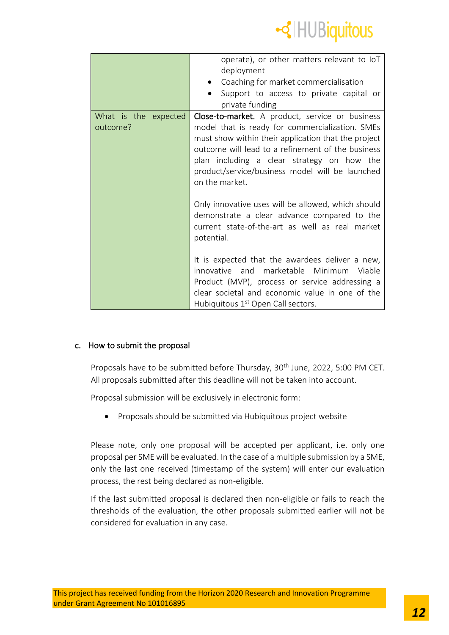

|                                  | operate), or other matters relevant to loT<br>deployment<br>Coaching for market commercialisation<br>Support to access to private capital or<br>private funding                                                                                                                                                                          |
|----------------------------------|------------------------------------------------------------------------------------------------------------------------------------------------------------------------------------------------------------------------------------------------------------------------------------------------------------------------------------------|
| What is the expected<br>outcome? | <b>Close-to-market.</b> A product, service or business<br>model that is ready for commercialization. SMEs<br>must show within their application that the project<br>outcome will lead to a refinement of the business<br>plan including a clear strategy on how the<br>product/service/business model will be launched<br>on the market. |
|                                  | Only innovative uses will be allowed, which should<br>demonstrate a clear advance compared to the<br>current state-of-the-art as well as real market<br>potential.                                                                                                                                                                       |
|                                  | It is expected that the awardees deliver a new,<br>innovative and marketable Minimum<br>Viable<br>Product (MVP), process or service addressing a<br>clear societal and economic value in one of the<br>Hubiquitous 1 <sup>st</sup> Open Call sectors.                                                                                    |

### c. How to submit the proposal

Proposals have to be submitted before Thursday, 30<sup>th</sup> June, 2022, 5:00 PM CET. All proposals submitted after this deadline will not be taken into account.

Proposal submission will be exclusively in electronic form:

• Proposals should be submitted via Hubiquitous project website

Please note, only one proposal will be accepted per applicant, i.e. only one proposal per SME will be evaluated. In the case of a multiple submission by a SME, only the last one received (timestamp of the system) will enter our evaluation process, the rest being declared as non-eligible.

If the last submitted proposal is declared then non-eligible or fails to reach the thresholds of the evaluation, the other proposals submitted earlier will not be considered for evaluation in any case.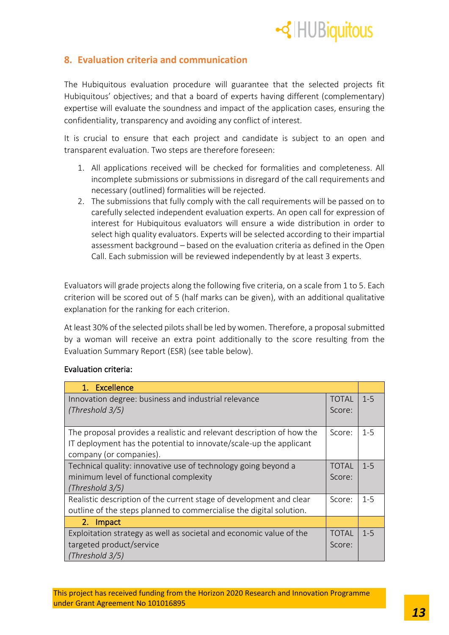

### <span id="page-13-0"></span>**8. Evaluation criteria and communication**

The Hubiquitous evaluation procedure will guarantee that the selected projects fit Hubiquitous' objectives; and that a board of experts having different (complementary) expertise will evaluate the soundness and impact of the application cases, ensuring the confidentiality, transparency and avoiding any conflict of interest.

It is crucial to ensure that each project and candidate is subject to an open and transparent evaluation. Two steps are therefore foreseen:

- 1. All applications received will be checked for formalities and completeness. All incomplete submissions or submissions in disregard of the call requirements and necessary (outlined) formalities will be rejected.
- 2. The submissions that fully comply with the call requirements will be passed on to carefully selected independent evaluation experts. An open call for expression of interest for Hubiquitous evaluators will ensure a wide distribution in order to select high quality evaluators. Experts will be selected according to their impartial assessment background – based on the evaluation criteria as defined in the Open Call. Each submission will be reviewed independently by at least 3 experts.

Evaluators will grade projects along the following five criteria, on a scale from 1 to 5. Each criterion will be scored out of 5 (half marks can be given), with an additional qualitative explanation for the ranking for each criterion.

At least 30% of the selected pilots shall be led by women. Therefore, a proposal submitted by a woman will receive an extra point additionally to the score resulting from the Evaluation Summary Report (ESR) (see table below).

| Excellence<br>$1_{-}$                                                   |                        |         |
|-------------------------------------------------------------------------|------------------------|---------|
| Innovation degree: business and industrial relevance<br>(Threshold 3/5) | <b>TOTAL</b><br>Score: | $1 - 5$ |
|                                                                         |                        |         |
| The proposal provides a realistic and relevant description of how the   | Score:                 | $1 - 5$ |
| IT deployment has the potential to innovate/scale-up the applicant      |                        |         |
| company (or companies).                                                 |                        |         |
| Technical quality: innovative use of technology going beyond a          | <b>TOTAL</b>           | $1 - 5$ |
| minimum level of functional complexity                                  | Score:                 |         |
| (Threshold 3/5)                                                         |                        |         |
| Realistic description of the current stage of development and clear     | Score:                 | $1 - 5$ |
| outline of the steps planned to commercialise the digital solution.     |                        |         |
| 2.<br>Impact                                                            |                        |         |
| Exploitation strategy as well as societal and economic value of the     | <b>TOTAL</b>           | $1 - 5$ |
| targeted product/service                                                | Score:                 |         |
| (Threshold 3/5)                                                         |                        |         |

### Evaluation criteria: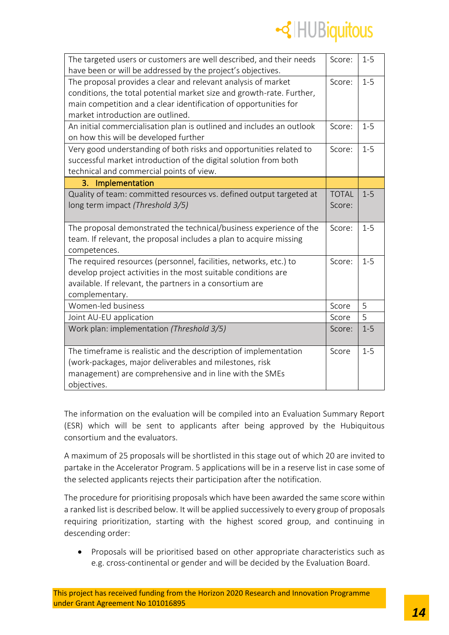

| The targeted users or customers are well described, and their needs   | Score:       | $1 - 5$ |
|-----------------------------------------------------------------------|--------------|---------|
| have been or will be addressed by the project's objectives.           |              |         |
| The proposal provides a clear and relevant analysis of market         | Score:       | $1 - 5$ |
| conditions, the total potential market size and growth-rate. Further, |              |         |
| main competition and a clear identification of opportunities for      |              |         |
| market introduction are outlined.                                     |              |         |
| An initial commercialisation plan is outlined and includes an outlook | Score:       | $1 - 5$ |
| on how this will be developed further                                 |              |         |
| Very good understanding of both risks and opportunities related to    | Score:       | $1-5$   |
| successful market introduction of the digital solution from both      |              |         |
| technical and commercial points of view.                              |              |         |
| 3. Implementation                                                     |              |         |
| Quality of team: committed resources vs. defined output targeted at   | <b>TOTAL</b> | $1 - 5$ |
| long term impact (Threshold 3/5)                                      | Score:       |         |
|                                                                       |              |         |
| The proposal demonstrated the technical/business experience of the    | Score:       | $1-5$   |
| team. If relevant, the proposal includes a plan to acquire missing    |              |         |
| competences.                                                          |              |         |
| The required resources (personnel, facilities, networks, etc.) to     | Score:       | $1 - 5$ |
| develop project activities in the most suitable conditions are        |              |         |
| available. If relevant, the partners in a consortium are              |              |         |
| complementary.                                                        |              |         |
| Women-led business                                                    | Score        | 5       |
| Joint AU-EU application                                               | Score        | 5       |
| Work plan: implementation (Threshold 3/5)                             | Score:       | $1 - 5$ |
|                                                                       |              |         |
| The timeframe is realistic and the description of implementation      | Score        | $1 - 5$ |
| (work-packages, major deliverables and milestones, risk               |              |         |
| management) are comprehensive and in line with the SMEs               |              |         |
| objectives.                                                           |              |         |

The information on the evaluation will be compiled into an Evaluation Summary Report (ESR) which will be sent to applicants after being approved by the Hubiquitous consortium and the evaluators.

A maximum of 25 proposals will be shortlisted in this stage out of which 20 are invited to partake in the Accelerator Program. 5 applications will be in a reserve list in case some of the selected applicants rejects their participation after the notification.

The procedure for prioritising proposals which have been awarded the same score within a ranked list is described below. It will be applied successively to every group of proposals requiring prioritization, starting with the highest scored group, and continuing in descending order:

• Proposals will be prioritised based on other appropriate characteristics such as e.g. cross-continental or gender and will be decided by the Evaluation Board.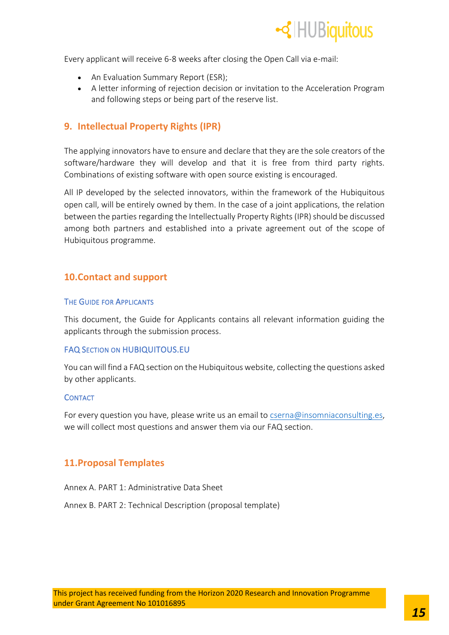

Every applicant will receive 6-8 weeks after closing the Open Call via e-mail:

- An Evaluation Summary Report (ESR);
- A letter informing of rejection decision or invitation to the Acceleration Program and following steps or being part of the reserve list.

### <span id="page-15-0"></span>**9. Intellectual Property Rights (IPR)**

The applying innovators have to ensure and declare that they are the sole creators of the software/hardware they will develop and that it is free from third party rights. Combinations of existing software with open source existing is encouraged.

All IP developed by the selected innovators, within the framework of the Hubiquitous open call, will be entirely owned by them. In the case of a joint applications, the relation between the parties regarding the Intellectually Property Rights (IPR) should be discussed among both partners and established into a private agreement out of the scope of Hubiquitous programme.

### <span id="page-15-1"></span>**10.Contact and support**

#### THE GUIDE FOR APPLICANTS

This document, the Guide for Applicants contains all relevant information guiding the applicants through the submission process.

### FAQ SECTION ON HUBIQUITOUS.EU

You can will find a FAQ section on the Hubiquitous website, collecting the questions asked by other applicants.

#### **CONTACT**

For every question you have, please write us an email to [cserna@insomniaconsulting.es,](mailto:cserna@insomniaconsulting.es) we will collect most questions and answer them via our FAQ section.

### <span id="page-15-2"></span>**11.Proposal Templates**

Annex A. PART 1: Administrative Data Sheet

Annex B. PART 2: Technical Description (proposal template)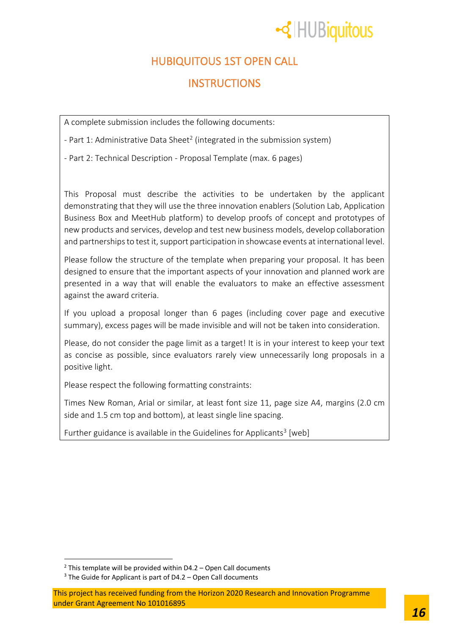## -<llequitous

## HUBIQUITOUS 1ST OPEN CALL

### **INSTRUCTIONS**

A complete submission includes the following documents:

- Part 1: Administrative Data Sheet<sup>2</sup> (integrated in the submission system)

- Part 2: Technical Description - Proposal Template (max. 6 pages)

This Proposal must describe the activities to be undertaken by the applicant demonstrating that they will use the three innovation enablers (Solution Lab, Application Business Box and MeetHub platform) to develop proofs of concept and prototypes of new products and services, develop and test new business models, develop collaboration and partnerships to test it, support participation in showcase events at international level.

Please follow the structure of the template when preparing your proposal. It has been designed to ensure that the important aspects of your innovation and planned work are presented in a way that will enable the evaluators to make an effective assessment against the award criteria.

If you upload a proposal longer than 6 pages (including cover page and executive summary), excess pages will be made invisible and will not be taken into consideration.

Please, do not consider the page limit as a target! It is in your interest to keep your text as concise as possible, since evaluators rarely view unnecessarily long proposals in a positive light.

Please respect the following formatting constraints:

Times New Roman, Arial or similar, at least font size 11, page size A4, margins (2.0 cm side and 1.5 cm top and bottom), at least single line spacing.

Further guidance is available in the Guidelines for Applicants<sup>3</sup> [web]

 $2$  This template will be provided within D4.2 – Open Call documents

 $3$  The Guide for Applicant is part of D4.2 – Open Call documents

This project has received funding from the Horizon 2020 Research and Innovation Programme under Grant Agreement No 101016895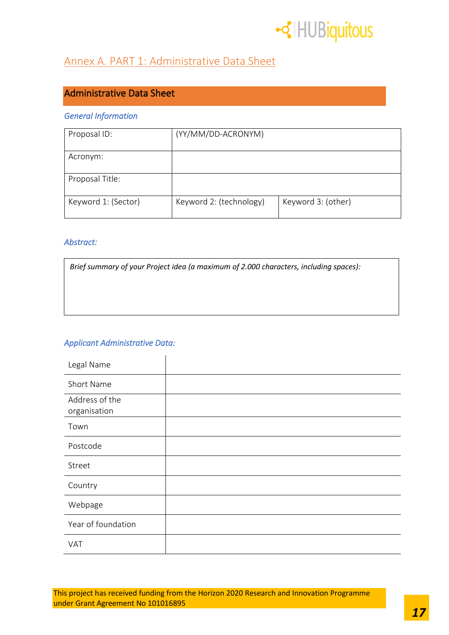

### Annex A. PART 1: Administrative Data Sheet

### Administrative Data Sheet

### *General Information*

| Proposal ID:        | (YY/MM/DD-ACRONYM)      |                    |
|---------------------|-------------------------|--------------------|
| Acronym:            |                         |                    |
| Proposal Title:     |                         |                    |
| Keyword 1: (Sector) | Keyword 2: (technology) | Keyword 3: (other) |

### *Abstract:*

*Brief summary of your Project idea (a maximum of 2.000 characters, including spaces):*

### *Applicant Administrative Data:*

| Legal Name                     |  |
|--------------------------------|--|
| Short Name                     |  |
| Address of the<br>organisation |  |
| Town                           |  |
| Postcode                       |  |
| Street                         |  |
| Country                        |  |
| Webpage                        |  |
| Year of foundation             |  |
| VAT                            |  |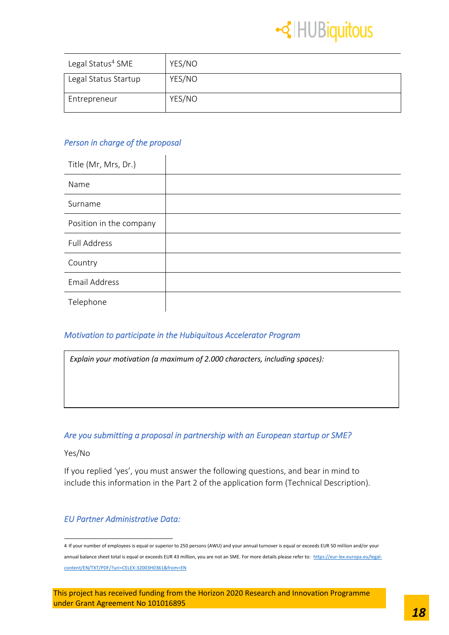

| Legal Status <sup>4</sup> SME | YES/NO |
|-------------------------------|--------|
| Legal Status Startup          | YES/NO |
| Entrepreneur                  | YES/NO |

### *Person in charge of the proposal*

| Title (Mr, Mrs, Dr.)    |  |
|-------------------------|--|
| Name                    |  |
| Surname                 |  |
| Position in the company |  |
| <b>Full Address</b>     |  |
| Country                 |  |
| <b>Email Address</b>    |  |
| Telephone               |  |

### *Motivation to participate in the Hubiquitous Accelerator Program*

| Explain your motivation (a maximum of 2.000 characters, including spaces): |  |  |  |
|----------------------------------------------------------------------------|--|--|--|
|----------------------------------------------------------------------------|--|--|--|

### *Are you submitting a proposal in partnership with an European startup or SME?*

Yes/No

If you replied 'yes', you must answer the following questions, and bear in mind to include this information in the Part 2 of the application form (Technical Description).

### *EU Partner Administrative Data:*

<sup>4</sup> If your number of employees is equal or superior to 250 persons (AWU) and your annual turnover is equal or exceeds EUR 50 million and/or your annual balance sheet total is equal or exceeds EUR 43 million, you are not an SME. For more details please refer to: [https://eur-lex.europa.eu/legal](https://eur-lex.europa.eu/legal-content/EN/TXT/PDF/?uri=CELEX:32003H0361&from=EN)[content/EN/TXT/PDF/?uri=CELEX:32003H0361&from=EN](https://eur-lex.europa.eu/legal-content/EN/TXT/PDF/?uri=CELEX:32003H0361&from=EN)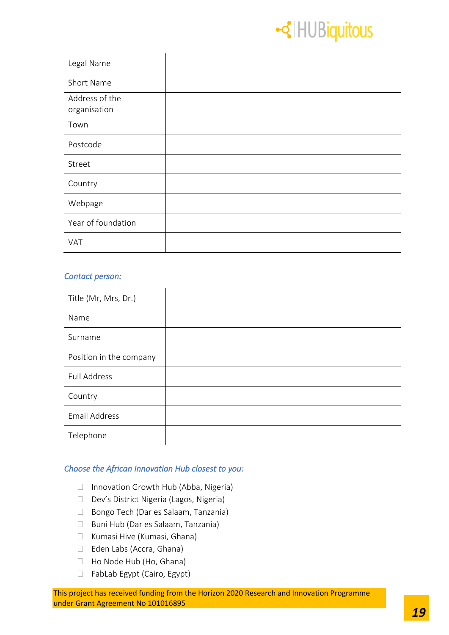## -<lled HUBiquitous

| Legal Name                     |  |
|--------------------------------|--|
| Short Name                     |  |
| Address of the<br>organisation |  |
| Town                           |  |
| Postcode                       |  |
| Street                         |  |
| Country                        |  |
| Webpage                        |  |
| Year of foundation             |  |
| <b>VAT</b>                     |  |

### *Contact person:*

| Title (Mr, Mrs, Dr.)    |  |
|-------------------------|--|
| Name                    |  |
| Surname                 |  |
| Position in the company |  |
| <b>Full Address</b>     |  |
| Country                 |  |
| <b>Email Address</b>    |  |
| Telephone               |  |

### *Choose the African Innovation Hub closest to you:*

- □ Innovation Growth Hub (Abba, Nigeria)
- D Dev's District Nigeria (Lagos, Nigeria)
- □ Bongo Tech (Dar es Salaam, Tanzania)
- Buni Hub (Dar es Salaam, Tanzania)
- Kumasi Hive (Kumasi, Ghana)
- Eden Labs (Accra, Ghana)
- □ Ho Node Hub (Ho, Ghana)
- □ FabLab Egypt (Cairo, Egypt)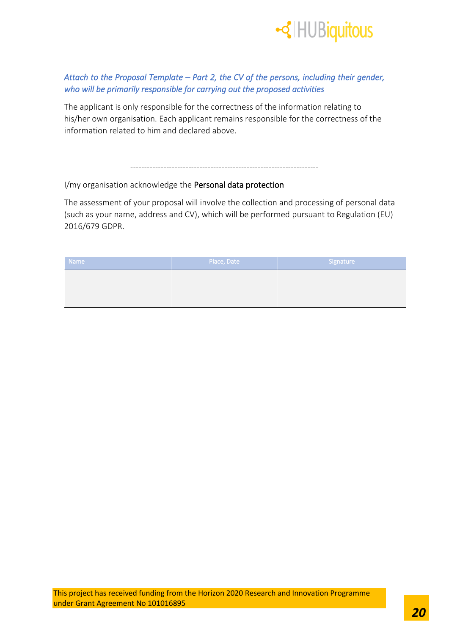

### *Attach to the Proposal Template – Part 2, the CV of the persons, including their gender, who will be primarily responsible for carrying out the proposed activities*

The applicant is only responsible for the correctness of the information relating to his/her own organisation. Each applicant remains responsible for the correctness of the information related to him and declared above.

--------------------------------------------------------------------

I/my organisation acknowledge the Personal data protection

The assessment of your proposal will involve the collection and processing of personal data (such as your name, address and CV), which will be performed pursuant to Regulation (EU) 2016/679 GDPR.

| <b>Name</b> | Place, Date | Signature |
|-------------|-------------|-----------|
|             |             |           |
|             |             |           |
|             |             |           |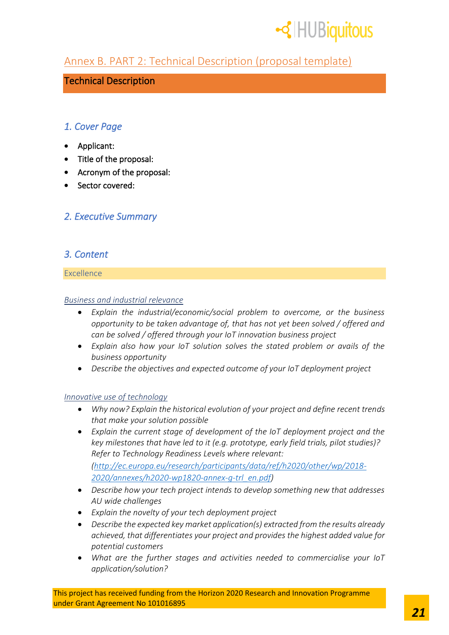

### Annex B. PART 2: Technical Description (proposal template)

### Technical Description

### *1. Cover Page*

- Applicant:
- Title of the proposal:
- Acronym of the proposal:
- Sector covered:

### *2. Executive Summary*

### *3. Content*

### Excellence

### *Business and industrial relevance*

- *Explain the industrial/economic/social problem to overcome, or the business opportunity to be taken advantage of, that has not yet been solved / offered and can be solved / offered through your IoT innovation business project*
- *Explain also how your IoT solution solves the stated problem or avails of the business opportunity*
- *Describe the objectives and expected outcome of your IoT deployment project*

### *Innovative use of technology*

- *Why now? Explain the historical evolution of your project and define recent trends that make your solution possible*
- *Explain the current stage of development of the IoT deployment project and the key milestones that have led to it (e.g. prototype, early field trials, pilot studies)? Refer to Technology Readiness Levels where relevant: [\(http://ec.europa.eu/research/participants/data/ref/h2020/other/wp/2018-](http://ec.europa.eu/research/participants/data/ref/h2020/other/wp/2018-2020/annexes/h2020-wp1820-annex-g-trl_en.pdf) [2020/annexes/h2020-wp1820-annex-g-trl\\_en.pdf\)](http://ec.europa.eu/research/participants/data/ref/h2020/other/wp/2018-2020/annexes/h2020-wp1820-annex-g-trl_en.pdf)*
- *Describe how your tech project intends to develop something new that addresses AU wide challenges*
- *Explain the novelty of your tech deployment project*
- *Describe the expected key market application(s) extracted from the results already achieved, that differentiates your project and provides the highest added value for potential customers*
- *What are the further stages and activities needed to commercialise your IoT application/solution?*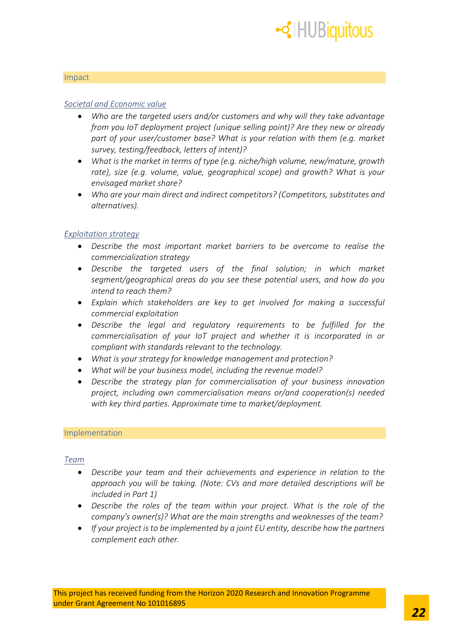

#### Impact

#### *Societal and Economic value*

- *Who are the targeted users and/or customers and why will they take advantage from you IoT deployment project (unique selling point)? Are they new or already part of your user/customer base? What is your relation with them (e.g. market survey, testing/feedback, letters of intent)?*
- *What is the market in terms of type (e.g. niche/high volume, new/mature, growth rate), size (e.g. volume, value, geographical scope) and growth? What is your envisaged market share?*
- *Who are your main direct and indirect competitors? (Competitors, substitutes and alternatives).*

#### *Exploitation strategy*

- *Describe the most important market barriers to be overcome to realise the commercialization strategy*
- *Describe the targeted users of the final solution; in which market segment/geographical areas do you see these potential users, and how do you intend to reach them?*
- *Explain which stakeholders are key to get involved for making a successful commercial exploitation*
- *Describe the legal and regulatory requirements to be fulfilled for the commercialisation of your IoT project and whether it is incorporated in or compliant with standards relevant to the technology.*
- *What is your strategy for knowledge management and protection?*
- *What will be your business model, including the revenue model?*
- *Describe the strategy plan for commercialisation of your business innovation project, including own commercialisation means or/and cooperation(s) needed with key third parties. Approximate time to market/deployment.*

#### Implementation

#### *Team*

- *Describe your team and their achievements and experience in relation to the approach you will be taking. (Note: CVs and more detailed descriptions will be included in Part 1)*
- *Describe the roles of the team within your project. What is the role of the company's owner(s)? What are the main strengths and weaknesses of the team?*
- *If your project is to be implemented by a joint EU entity, describe how the partners complement each other.*